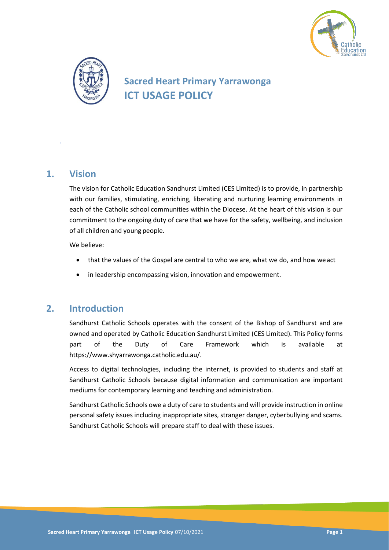



# **Sacred Heart Primary Yarrawonga ICT USAGE POLICY**

### **1. Vision**

*.*

The vision for Catholic Education Sandhurst Limited (CES Limited) is to provide, in partnership with our families, stimulating, enriching, liberating and nurturing learning environments in each of the Catholic school communities within the Diocese. At the heart of this vision is our commitment to the ongoing duty of care that we have for the safety, wellbeing, and inclusion of all children and young people.

We believe:

- that the values of the Gospel are central to who we are, what we do, and how weact
- in leadership encompassing vision, innovation and empowerment.

# **2. Introduction**

Sandhurst Catholic Schools operates with the consent of the Bishop of Sandhurst and are owned and operated by Catholic Education Sandhurst Limited (CES Limited). This Policy forms part of the Duty of Care Framework which is available at https://www.shyarrawonga.catholic.edu.au/.

Access to digital technologies, including the internet, is provided to students and staff at Sandhurst Catholic Schools because digital information and communication are important mediums for contemporary learning and teaching and administration.

Sandhurst Catholic Schools owe a duty of care to students and will provide instruction in online personal safety issues including inappropriate sites, stranger danger, cyberbullying and scams. Sandhurst Catholic Schools will prepare staff to deal with these issues.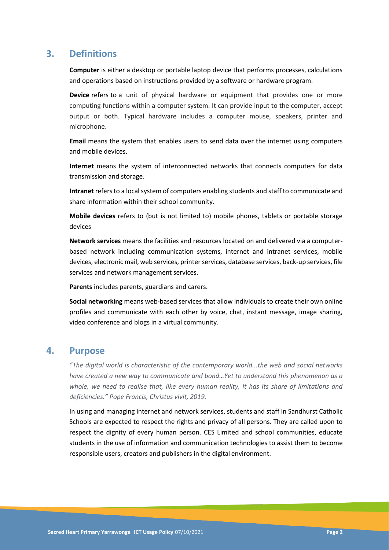### **3. Definitions**

**Computer** is either a desktop or portable laptop device that performs processes, calculations and operations based on instructions provided by a software or hardware program.

**Device** refers to a unit of physical hardware or equipment that provides one or more computing functions within a computer system. It can provide input to the computer, accept output or both. Typical hardware includes a computer mouse, speakers, printer and microphone.

**Email** means the system that enables users to send data over the internet using computers and mobile devices.

**Internet** means the system of interconnected networks that connects computers for data transmission and storage.

**Intranet** refers to a local system of computers enabling students and staff to communicate and share information within their school community.

**Mobile devices** refers to (but is not limited to) mobile phones, tablets or portable storage devices

**Network services** means the facilities and resources located on and delivered via a computerbased network including communication systems, internet and intranet services, mobile devices, electronic mail, web services, printer services, database services, back-up services, file services and network management services.

**Parents** includes parents, guardians and carers.

**Social networking** means web-based services that allow individuals to create their own online profiles and communicate with each other by voice, chat, instant message, image sharing, video conference and blogs in a virtual community.

### **4. Purpose**

*"The digital world is characteristic of the contemporary world...the web and social networks have created a new way to communicate and bond…Yet to understand this phenomenon as a whole, we need to realise that, like every human reality, it has its share of limitations and deficiencies." Pope Francis, Christus vivit, 2019.*

In using and managing internet and network services, students and staff in Sandhurst Catholic Schools are expected to respect the rights and privacy of all persons. They are called upon to respect the dignity of every human person. CES Limited and school communities, educate students in the use of information and communication technologies to assist them to become responsible users, creators and publishers in the digital environment.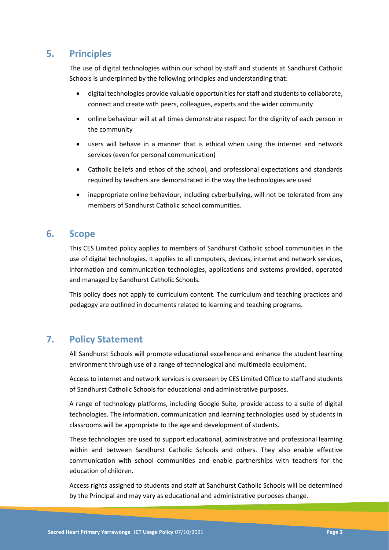# **5. Principles**

The use of digital technologies within our school by staff and students at Sandhurst Catholic Schools is underpinned by the following principles and understanding that:

- digital technologies provide valuable opportunities for staff and students to collaborate, connect and create with peers, colleagues, experts and the wider community
- online behaviour will at all times demonstrate respect for the dignity of each person in the community
- users will behave in a manner that is ethical when using the internet and network services (even for personal communication)
- Catholic beliefs and ethos of the school, and professional expectations and standards required by teachers are demonstrated in the way the technologies are used
- inappropriate online behaviour, including cyberbullying, will not be tolerated from any members of Sandhurst Catholic school communities.

### **6. Scope**

This CES Limited policy applies to members of Sandhurst Catholic school communities in the use of digital technologies. It applies to all computers, devices, internet and network services, information and communication technologies, applications and systems provided, operated and managed by Sandhurst Catholic Schools.

This policy does not apply to curriculum content. The curriculum and teaching practices and pedagogy are outlined in documents related to learning and teaching programs.

# **7. Policy Statement**

All Sandhurst Schools will promote educational excellence and enhance the student learning environment through use of a range of technological and multimedia equipment.

Access to internet and network services is overseen by CES Limited Office to staff and students of Sandhurst Catholic Schools for educational and administrative purposes.

A range of technology platforms, including Google Suite, provide access to a suite of digital technologies. The information, communication and learning technologies used by students in classrooms will be appropriate to the age and development of students.

These technologies are used to support educational, administrative and professional learning within and between Sandhurst Catholic Schools and others. They also enable effective communication with school communities and enable partnerships with teachers for the education of children.

Access rights assigned to students and staff at Sandhurst Catholic Schools will be determined by the Principal and may vary as educational and administrative purposes change.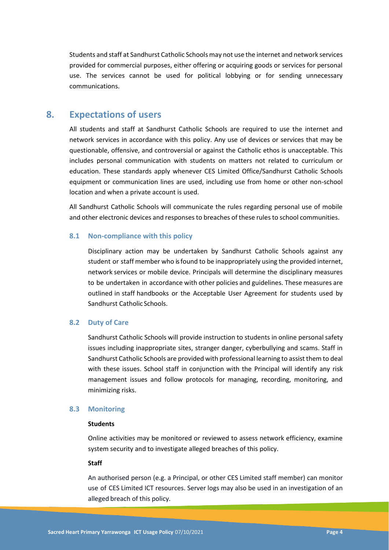Students and staff at Sandhurst Catholic Schools may not use the internet and network services provided for commercial purposes, either offering or acquiring goods or services for personal use. The services cannot be used for political lobbying or for sending unnecessary communications.

### **8. Expectations of users**

All students and staff at Sandhurst Catholic Schools are required to use the internet and network services in accordance with this policy. Any use of devices or services that may be questionable, offensive, and controversial or against the Catholic ethos is unacceptable. This includes personal communication with students on matters not related to curriculum or education. These standards apply whenever CES Limited Office/Sandhurst Catholic Schools equipment or communication lines are used, including use from home or other non-school location and when a private account is used.

All Sandhurst Catholic Schools will communicate the rules regarding personal use of mobile and other electronic devices and responsesto breaches of these rulesto school communities.

#### **8.1 Non-compliance with this policy**

Disciplinary action may be undertaken by Sandhurst Catholic Schools against any student or staff member who is found to be inappropriately using the provided internet, network services or mobile device. Principals will determine the disciplinary measures to be undertaken in accordance with other policies and guidelines. These measures are outlined in staff handbooks or the Acceptable User Agreement for students used by Sandhurst Catholic Schools.

### **8.2 Duty of Care**

Sandhurst Catholic Schools will provide instruction to students in online personal safety issues including inappropriate sites, stranger danger, cyberbullying and scams. Staff in Sandhurst Catholic Schools are provided with professional learning to assist them to deal with these issues. School staff in conjunction with the Principal will identify any risk management issues and follow protocols for managing, recording, monitoring, and minimizing risks.

#### **8.3 Monitoring**

#### **Students**

Online activities may be monitored or reviewed to assess network efficiency, examine system security and to investigate alleged breaches of this policy.

#### **Staff**

An authorised person (e.g. a Principal, or other CES Limited staff member) can monitor use of CES Limited ICT resources. Server logs may also be used in an investigation of an alleged breach of this policy.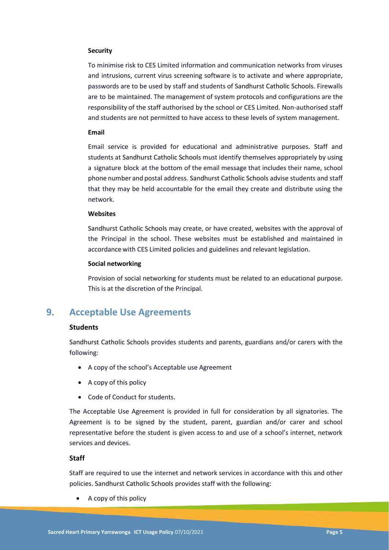#### **Security**

To minimise risk to CES Limited information and communication networks from viruses and intrusions, current virus screening software is to activate and where appropriate, passwords are to be used by staff and students of Sandhurst Catholic Schools. Firewalls are to be maintained. The management of system protocols and configurations are the responsibility of the staff authorised by the school or CES Limited. Non-authorised staff and students are not permitted to have access to these levels of system management.

#### **Email**

Email service is provided for educational and administrative purposes. Staff and students at Sandhurst Catholic Schools must identify themselves appropriately by using a signature block at the bottom of the email message that includes their name, school phone number and postal address. Sandhurst Catholic Schools advise students and staff that they may be held accountable for the email they create and distribute using the network.

#### **Websites**

Sandhurst Catholic Schools may create, or have created, websites with the approval of the Principal in the school. These websites must be established and maintained in accordance with CES Limited policies and guidelines and relevant legislation.

#### **Social networking**

Provision of social networking for students must be related to an educational purpose. This is at the discretion of the Principal.

# **9. Acceptable Use Agreements**

### **Students**

Sandhurst Catholic Schools provides students and parents, guardians and/or carers with the following:

- A copy of the school's Acceptable use Agreement
- A copy of this policy
- Code of Conduct for students.

The Acceptable Use Agreement is provided in full for consideration by all signatories. The Agreement is to be signed by the student, parent, guardian and/or carer and school representative before the student is given access to and use of a school's internet, network services and devices.

#### **Staff**

Staff are required to use the internet and network services in accordance with this and other policies. Sandhurst Catholic Schools provides staff with the following:

• A copy of this policy